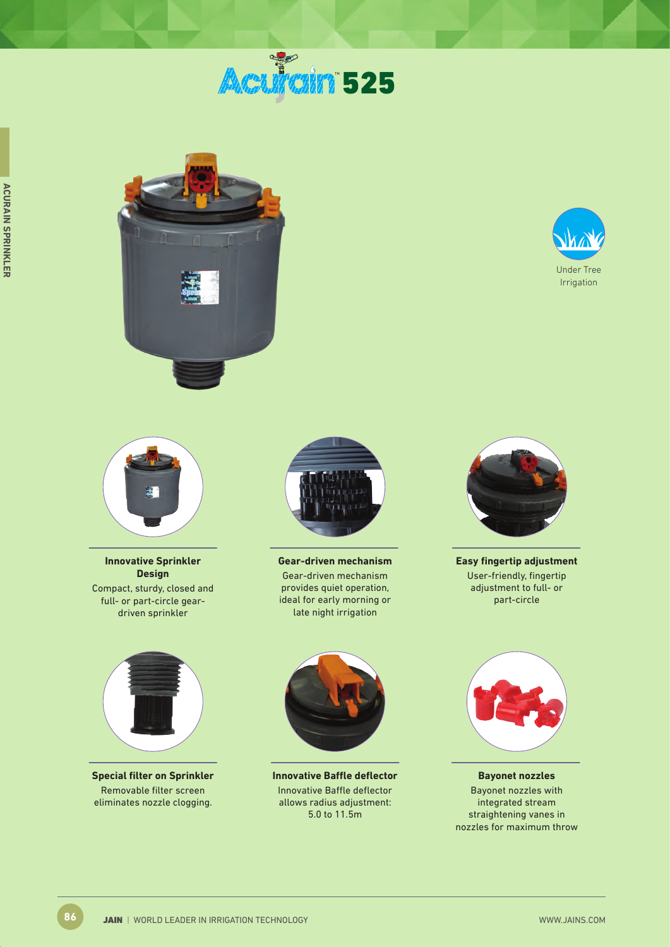







**Innovative Sprinkler Design** Compact, sturdy, closed and full- or part-circle geardriven sprinkler



**Special filter on Sprinkler** Removable filter screen eliminates nozzle clogging.



**Gear-driven mechanism** Gear-driven mechanism provides quiet operation, ideal for early morning or late night irrigation



**Innovative Baffle deflector** Innovative Baffle deflector allows radius adjustment: 5.0 to 11.5m



**Easy fingertip adjustment** User-friendly, fingertip adjustment to full- or part-circle



**Bayonet nozzles** Bayonet nozzles with integrated stream straightening vanes in nozzles for maximum throw